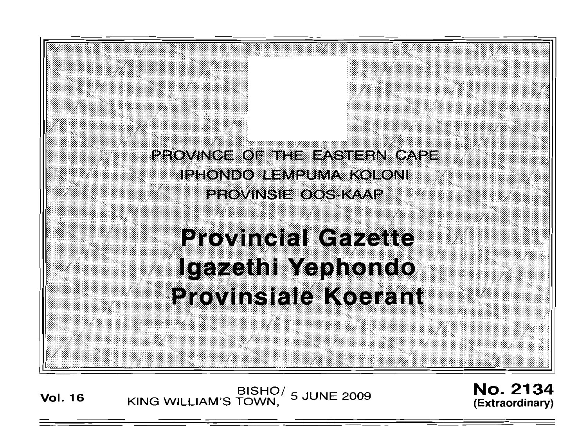

**Vol. <sup>16</sup>** BISHO/ KING WILLIAM'S TOWN, 5 JUNE 2009

No. 2134 **(Extraordinary)**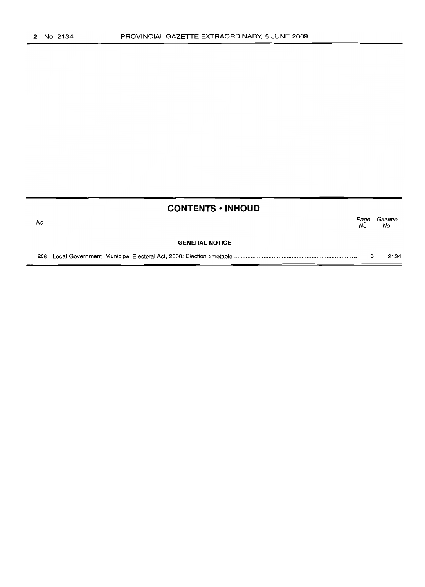| <b>CONTENTS • INHOUD</b> |                       |             |                |  |
|--------------------------|-----------------------|-------------|----------------|--|
| No.                      |                       | Page<br>No. | Gazette<br>No. |  |
|                          | <b>GENERAL NOTICE</b> |             |                |  |
| 208                      |                       |             | 2134           |  |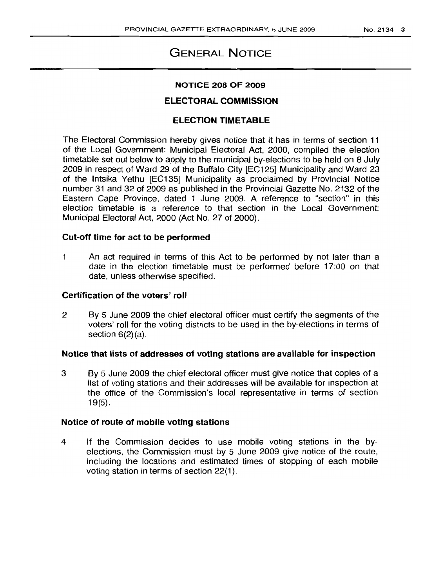# **GENERAL NOTICE**

## **NOTICE 208 OF 2009**

# **ELECTORAL COMMISSION**

# **ELECTION TIMETABLE**

The Electoral Commission hereby gives notice that it has in terms of section 11 of the Local Government: Municipal Electoral Act, 2000, compiled the election timetable set out below to apply to the municipal by-elections to be held on 8 July 2009 in respect of Ward 29 of the Buffalo City [EC125] Municipality and Ward 23 of the Intsika Yethu [EC135] Municipality as proclaimed by Provincial Notice number 31 and 32 of 2009 as published in the Provincial Gazette No. 2'132 of the Eastern Cape Province, dated 1 June 2009. A reference to "section" in this election timetable is a reference to that section in the Local Government: Municipal Electoral Act, 2000 (Act No. 27 of 2000).

# **Cut-off time for act to be performed**

1 An act required in terms of this Act to be performed by not later than a date in the election timetable must be performed before 17:00 on that date, unless otherwise specified.

## **Certification of the voters' roll**

2 By 5 June 2009 the chief electoral officer must certify the segments of the voters' roll for the voting districts to be used in the by-elections in terms of section  $6(2)(a)$ .

# **Notice that lists of addresses of voting stations are available for inspection**

3 By 5 June 2009 the chief electoral officer must give notice that copies of a list of voting stations and their addresses will be available for inspection at the office of the Commission's local representative in terms of section 19(5).

#### **Notice of route of mobile voting stations**

4 If the Commission decides to use mobile voting stations in the byelections, the Commission must by 5 June 2009 give notice of the route, including the locations and estimated times of stopping of each mobile voting station in terms of section 22(1).